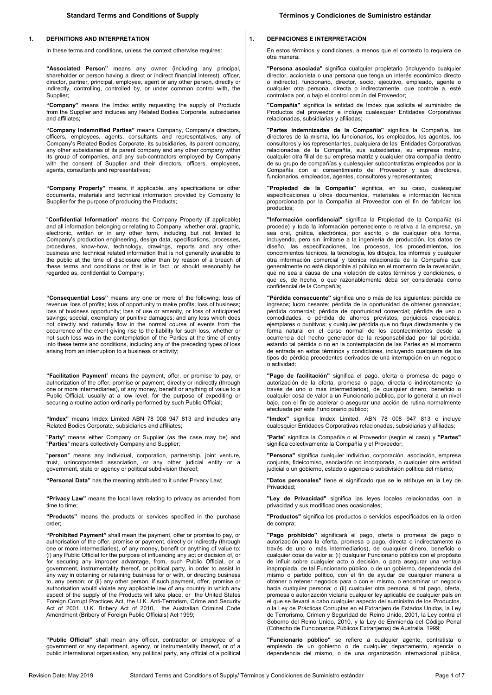#### **1. DEFINITIONS AND INTERPRETATION**

In these terms and conditions, unless the context otherwise requires:

**"Associated Person"** means any owner (including any principal, shareholder or person having a direct or indirect financial interest), officer, director, partner, principal, employee, agent or any other person, directly or indirectly, controlling, controlled by, or under common control with, the Supplier;

**"Company"** means the Imdex entity requesting the supply of Products from the Supplier and includes any Related Bodies Corporate, subsidiaries and affiliates;

**"Company Indemnified Parties"** means Company, Company's directors, officers, employees, agents, consultants and representatives, any of Company's Related Bodies Corporate, its subsidiaries, its parent company, any other subsidiaries of its parent company and any other company within its group of companies, and any sub-contractors employed by Company with the consent of Supplier and their directors, officers, employees, agents, consultants and representatives;

**"Company Property"** means, if applicable, any specifications or other documents, materials and technical information provided by Company to Supplier for the purpose of producing the Products;

"**Confidential Information**" means the Company Property (if applicable) and all information belonging or relating to Company, whether oral, graphic, electronic, written or in any other form, including but not limited to Company's production engineering, design data, specifications, processes, procedures, know-how, technology, drawings, reports and any other business and technical related information that is not generally available to the public at the time of disclosure other than by reason of a breach of these terms and conditions or that is in fact, or should reasonably be regarded as, confidential to Company;

**"Consequential Loss"** means any one or more of the following: loss of revenue; loss of profits; loss of opportunity to make profits; loss of business; loss of business opportunity; loss of use or amenity, or loss of anticipated savings; special, exemplary or punitive damages; and any loss which does not directly and naturally flow in the normal course of events from the occurrence of the event giving rise to the liability for such loss, whether or not such loss was in the contemplation of the Parties at the time of entry into these terms and conditions, including any of the preceding types of loss arising from an interruption to a business or activity;

**"Facilitation Payment**" means the payment, offer, or promise to pay, or authorization of the offer, promise or payment, directly or indirectly (through one or more intermediaries), of any money, benefit or anything of value to a Public Official, usually at a low level, for the purpose of expediting or securing a routine action ordinarily performed by such Public Official;

**"Imdex"** means Imdex Limited ABN 78 008 947 813 and includes any Related Bodies Corporate, subsidiaries and affiliates;

"**Party**" means either Company or Supplier (as the case may be) and "**Parties**" means collectively Company and Supplier;

"**person**" means any individual, corporation, partnership, joint venture, trust, unincorporated association, or any other judicial entity or a government, state or agency or political subdivision thereof;

**"Personal Data"** has the meaning attributed to it under Privacy Law;

**"Privacy Law"** means the local laws relating to privacy as amended from time to time;

**"Products"** means the products or services specified in the purchase order;

**"Prohibited Payment"** shall mean the payment, offer or promise to pay, or authorisation of the offer, promise or payment, directly or indirectly (through one or more intermediaries), of any money, benefit or anything of value to: (i) any Public Official for the purpose of influencing any act or decision of, or for securing any improper advantage, from, such Public Official, or a government, instrumentality thereof, or political party, in order to assist in any way in obtaining or retaining business for or with, or directing business to, any person; or (ii) any other person, if such payment, offer, promise or authorisation would violate any applicable law of any country in which any aspect of the supply of the Products will take place, or the United States Foreign Corrupt Practices Act, the U.K. Anti-Terrorism, Crime and Security Act of 2001, U.K. Bribery Act of 2010, the Australian Criminal Code Amendment (Bribery of Foreign Public Officials) Act 1999;

**"Public Official"** shall mean any officer, contractor or employee of a government or any department, agency, or instrumentality thereof, or of a public international organisation, any political party, any official of a political

#### **1. DEFINICIONES E INTERPRETACIÓN**

En estos términos y condiciones, a menos que el contexto lo requiera de otra manera:

**"Persona asociada"** significa cualquier propietario (incluyendo cualquier director, accionista o una persona que tenga un interés económico directo o indirecto), funcionario, director, socio, ejecutivo, empleado, agente o cualquier otra persona, directa o indirectamente, que controle a, esté controlada por, o bajo el control común del Proveedor;

**"Compañía"** significa la entidad de Imdex que solicita el suministro de Productos del proveedor e incluye cualesquier Entidades Corporativas relacionadas, subsidiarias y afiliadas;

**"Partes indemnizadas de la Compañía"** significa la Compañía, los directores de la misma, los funcionarios, los empleados, los agentes, los consultores y los representantes, cualquiera de las Entidades Corporativas relacionadas de la Compañía, sus subsidiarias, su empresa matriz, cualquier otra filial de su empresa matriz y cualquier otra compañía dentro de su grupo de compañías y cualesquier subcontratistas empleados por la Compañía con el consentimiento del Proveedor y sus directores, funcionarios, empleados, agentes, consultores y representantes;

**"Propiedad de la Compañía"** significa, en su caso, cualesquier especificaciones u otros documentos, materiales e información técnica proporcionada por la Compañía al Proveedor con el fin de fabricar los productos;

**"Información confidencial"** significa la Propiedad de la Compañía (si procede) y toda la información perteneciente o relativa a la empresa, ya sea oral, gráfica, electrónica, por escrito o de cualquier otra forma, incluyendo, pero sin limitarse a la ingeniería de producción, los datos de diseño, las especificaciones, los procesos, los procedimientos, los conocimientos técnicos, la tecnología, los dibujos, los informes y cualquier otra información comercial y técnica relacionada de la Compañía que generalmente no esté disponible al público en el momento de la revelación, que no sea a causa de una violación de estos términos y condiciones, o que es, de hecho, o que razonablemente deba ser considerada como confidencial de la Compañía;

**"Pérdida consecuente"** significa uno o más de los siguientes: pérdida de ingresos; lucro cesante; pérdida de la oportunidad de obtener ganancias; pérdida comercial; pérdida de oportunidad comercial; pérdida de uso o comodidades, o pérdida de ahorros previstos; perjuicios especiales, ejemplares o punitivos; y cualquier pérdida que no fluya directamente y de forma natural en el curso normal de los acontecimientos desde la ocurrencia del hecho generador de la responsabilidad por tal pérdida, estando tal pérdida o no en la contemplación de las Partes en el momento de entrada en estos términos y condiciones, incluyendo cualquiera de los tipos de pérdida precedentes derivados de una interrupción en un negocio o actividad;

**"Pago de facilitación"** significa el pago, oferta o promesa de pago o autorización de la oferta, promesa o pago, directa o indirectamente (a través de uno o más intermediarios), de cualquier dinero, beneficio o cualquier cosa de valor a un Funcionario público, por lo general a un nivel bajo, con el fin de acelerar o asegurar una acción de rutina normalmente efectuada por este Funcionario público;

**"Imdex"** significa Imdex Limited, ABN 78 008 947 813 e incluye cualesquier Entidades Corporativas relacionadas, subsidiarias y afiliadas;

"**Parte**" significa la Compañía o el Proveedor (según el caso) y **"Partes"** significa colectivamente la Compañía y el Proveedor;

**"Persona"** significa cualquier individuo, corporación, asociación, empresa conjunta, fideicomiso, asociación no incorporada, o cualquier otra entidad judicial o un gobierno, estado o agencia o subdivisión política del mismo;

**"Datos personales"** tiene el significado que se le atribuye en la Ley de Privacidad;

**"Ley de Privacidad"** significa las leyes locales relacionadas con la privacidad y sus modificaciones ocasionales;

**"Productos"** significa los productos o servicios especificados en la orden de compra;

**"Pago prohibido"** significará el pago, oferta o promesa de pago o autorización para la oferta, promesa o pago, directa o indirectamente (a través de uno o más intermediarios), de cualquier dinero, beneficio o cualquier cosa de valor a: (i) cualquier Funcionario público con el propósito de influir sobre cualquier acto o decisión, o para asegurar una ventaja inapropiada, de tal Funcionario público, o de un gobierno, dependencia del mismo o partido político, con el fin de ayudar de cualquier manera a obtener o retener negocios para o con el mismo, o encaminar un negocio hacia cualquier persona; o (ii) cualquier otra persona, si tal pago, oferta, promesa o autorización violaría cualquier ley aplicable de cualquier país en el que se llevará a cabo cualquier aspecto del suministro de los Productos, o la Ley de Prácticas Corruptas en el Extranjero de Estados Unidos, la Ley de Terrorismo, Crimen y Seguridad del Reino Unido, 2001, la Ley contra el Soborno del Reino Unido, 2010, y la Ley de Enmienda del Código Penal (Cohecho de Funcionarios Públicos Extranjeros) de Australia, 1999;

**"Funcionario público"** se refiere a cualquier agente, contratista o empleado de un gobierno o de cualquier departamento, agencia o dependencia del mismo, o de una organización internacional pública,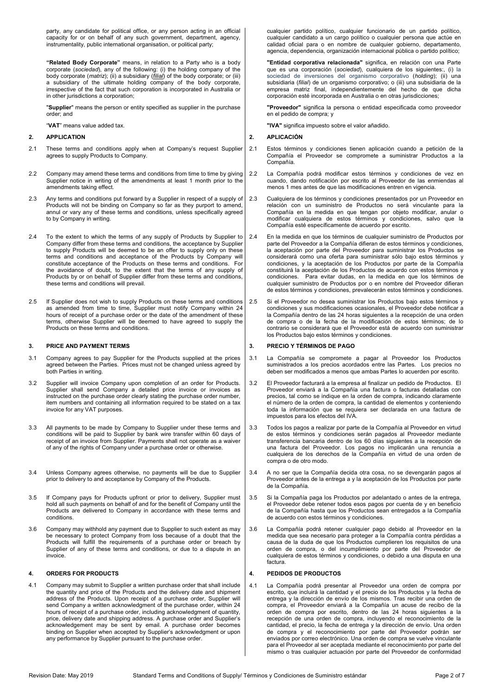party, any candidate for political office, or any person acting in an official capacity for or on behalf of any such government, department, agency, instrumentality, public international organisation, or political party;

**"Related Body Corporate"** means, in relation to a Party who is a body corporate (*sociedad*), any of the following: (i) the holding company of the body corporate (*matriz*); (ii) a subsidiary (*filial*) of the body corporate; or (iii) a subsidiary of the ultimate holding company of the body corporate, irrespective of the fact that such corporation is incorporated in Australia or in other jurisdictions a corporation;

"**Supplier**" means the person or entity specified as supplier in the purchase order; and

"**VAT**" means value added tax.

## **2. APPLICATION**

- 2.1 These terms and conditions apply when at Company's request Supplier agrees to supply Products to Company.
- 2.2 Company may amend these terms and conditions from time to time by giving Supplier notice in writing of the amendments at least 1 month prior to the amendments taking effect.
- 2.3 Any terms and conditions put forward by a Supplier in respect of a supply of Products will not be binding on Company so far as they purport to amend, annul or vary any of these terms and conditions, unless specifically agreed to by Company in writing.
- 2.4 To the extent to which the terms of any supply of Products by Supplier to Company differ from these terms and conditions, the acceptance by Supplier to supply Products will be deemed to be an offer to supply only on these terms and conditions and acceptance of the Products by Company will constitute acceptance of the Products on these terms and conditions. For the avoidance of doubt, to the extent that the terms of any supply of Products by or on behalf of Supplier differ from these terms and conditions, these terms and conditions will prevail.
- 2.5 If Supplier does not wish to supply Products on these terms and conditions as amended from time to time, Supplier must notify Company within 24 hours of receipt of a purchase order or the date of the amendment of these terms, otherwise Supplier will be deemed to have agreed to supply the Products on these terms and conditions.

#### **3. PRICE AND PAYMENT TERMS**

- 3.1 Company agrees to pay Supplier for the Products supplied at the prices agreed between the Parties. Prices must not be changed unless agreed by both Parties in writing.
- 3.2 Supplier will invoice Company upon completion of an order for Products. Supplier shall send Company a detailed price invoice or invoices as instructed on the purchase order clearly stating the purchase order number, item numbers and containing all information required to be stated on a tax invoice for any VAT purposes.
- 3.3 All payments to be made by Company to Supplier under these terms and conditions will be paid to Supplier by bank wire transfer within 60 days of receipt of an invoice from Supplier. Payments shall not operate as a waiver of any of the rights of Company under a purchase order or otherwise.
- 3.4 Unless Company agrees otherwise, no payments will be due to Supplier prior to delivery to and acceptance by Company of the Products.
- 3.5 If Company pays for Products upfront or prior to delivery, Supplier must hold all such payments on behalf of and for the benefit of Company until the Products are delivered to Company in accordance with these terms and conditions.
- 3.6 Company may withhold any payment due to Supplier to such extent as may be necessary to protect Company from loss because of a doubt that the Products will fulfill the requirements of a purchase order or breach by Supplier of any of these terms and conditions, or due to a dispute in an invoice.

## **4. ORDERS FOR PRODUCTS**

4.1 Company may submit to Supplier a written purchase order that shall include the quantity and price of the Products and the delivery date and shipment address of the Products. Upon receipt of a purchase order, Supplier will send Company a written acknowledgment of the purchase order, within 24 hours of receipt of a purchase order, including acknowledgment of quantity, price, delivery date and shipping address. A purchase order and Supplier's acknowledgement may be sent by email. A purchase order becomes binding on Supplier when accepted by Supplier's acknowledgment or upon any performance by Supplier pursuant to the purchase order.

cualquier partido político, cualquier funcionario de un partido político, cualquier candidato a un cargo político o cualquier persona que actúe en calidad oficial para o en nombre de cualquier gobierno, departamento, agencia, dependencia, organización internacional pública o partido político;

**"Entidad corporativa relacionada"** significa, en relación con una Parte que es una corporación (*sociedad*), cualquiera de los siguientes:, (i) la sociedad de inversiones del organismo corporativo (holding); (ii) una subsidiaria (*filial*) de un organismo corporativo; o (iii) una subsidiaria de la empresa matriz final, independientemente del hecho de que dicha corporación esté incorporada en Australia o en otras jurisdicciones;

**"Proveedor"** significa la persona o entidad especificada como proveedor en el pedido de compra; y

**"IVA"** significa impuesto sobre el valor añadido.

## **2. APLICACIÓN**

- 2.1 Estos términos y condiciones tienen aplicación cuando a petición de la Compañía el Proveedor se compromete a suministrar Productos a la Compañía.
- 2.2 La Compañía podrá modificar estos términos y condiciones de vez en cuando, dando notificación por escrito al Proveedor de las enmiendas al menos 1 mes antes de que las modificaciones entren en vigencia.
- 2.3 Cualquiera de los términos y condiciones presentados por un Proveedor en relación con un suministro de Productos no será vinculante para la Compañía en la medida en que tengan por objeto modificar, anular o modificar cualquiera de estos términos y condiciones, salvo que la Compañía esté específicamente de acuerdo por escrito.
- 2.4 En la medida en que los términos de cualquier suministro de Productos por parte del Proveedor a la Compañía difieran de estos términos y condiciones, la aceptación por parte del Proveedor para suministrar los Productos se considerará como una oferta para suministrar sólo bajo estos términos y condiciones, y la aceptación de los Productos por parte de la Compañía constituirá la aceptación de los Productos de acuerdo con estos términos y condiciones. Para evitar dudas, en la medida en que los términos de cualquier suministro de Productos por o en nombre del Proveedor difieran de estos términos y condiciones, prevalecerán estos términos y condiciones.
- 2.5 Si el Proveedor no desea suministrar los Productos bajo estos términos y condiciones y sus modificaciones ocasionales, el Proveedor debe notificar a la Compañía dentro de las 24 horas siguientes a la recepción de una orden de compra o de la fecha de la modificación de estos términos; de lo contrario se considerará que el Proveedor está de acuerdo con suministrar los Productos bajo estos términos y condiciones.

#### **3. PRECIO Y TÉRMINOS DE PAGO**

- 3.1 La Compañía se compromete a pagar al Proveedor los Productos suministrados a los precios acordados entre las Partes. Los precios no deben ser modificados a menos que ambas Partes lo acuerden por escrito.
- 3.2 El Proveedor facturará a la empresa al finalizar un pedido de Productos. El Proveedor enviará a la Compañía una factura o facturas detalladas con precios, tal como se indique en la orden de compra, indicando claramente el número de la orden de compra, la cantidad de elementos y conteniendo toda la información que se requiera ser declarada en una factura de impuestos para los efectos del IVA.
- 3.3 Todos los pagos a realizar por parte de la Compañía al Proveedor en virtud de estos términos y condiciones serán pagados al Proveedor mediante transferencia bancaria dentro de los 60 días siguientes a la recepción de una factura del Proveedor. Los pagos no implicarán una renuncia a cualquiera de los derechos de la Compañía en virtud de una orden de compra o de otro modo.
- 3.4 A no ser que la Compañía decida otra cosa, no se devengarán pagos al Proveedor antes de la entrega a y la aceptación de los Productos por parte de la Compañía.
- 3.5 Si la Compañía paga los Productos por adelantado o antes de la entrega, el Proveedor debe retener todos esos pagos por cuenta de y en beneficio de la Compañía hasta que los Productos sean entregados a la Compañía de acuerdo con estos términos y condiciones.
- 3.6 La Compañía podrá retener cualquier pago debido al Proveedor en la medida que sea necesario para proteger a la Compañía contra pérdidas a causa de la duda de que los Productos cumplieren los requisitos de una orden de compra, o del incumplimiento por parte del Proveedor de cualquiera de estos términos y condiciones, o debido a una disputa en una factura.

#### **4. PEDIDOS DE PRODUCTOS**

<span id="page-1-0"></span>4.1 La Compañía podrá presentar al Proveedor una orden de compra por escrito, que incluirá la cantidad y el precio de los Productos y la fecha de entrega y la dirección de envío de los mismos. Tras recibir una orden de compra, el Proveedor enviará a la Compañía un acuse de recibo de la orden de compra por escrito, dentro de las 24 horas siguientes a la recepción de una orden de compra, incluyendo el reconocimiento de la cantidad, el precio, la fecha de entrega y la dirección de envío. Una orden de compra y el reconocimiento por parte del Proveedor podrán ser enviados por correo electrónico. Una orden de compra se vuelve vinculante para el Proveedor al ser aceptada mediante el reconocimiento por parte del mismo o tras cualquier actuación por parte del Proveedor de conformidad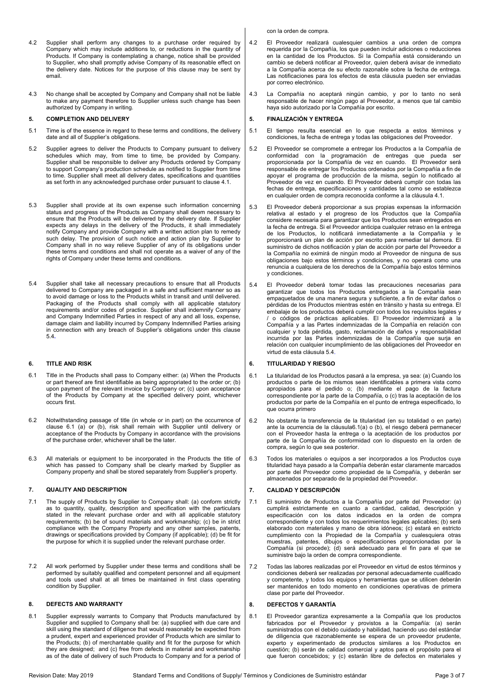- 4.2 Supplier shall perform any changes to a purchase order required by Company which may include additions to, or reductions in the quantity of Products. If Company is contemplating a change, notice shall be provided to Supplier, who shall promptly advise Company of its reasonable effect on the delivery date. Notices for the purpose of this clause may be sent by email.
- 4.3 No change shall be accepted by Company and Company shall not be liable to make any payment therefore to Supplier unless such change has been authorized by Company in writing.

#### **5. COMPLETION AND DELIVERY**

- 5.1 Time is of the essence in regard to these terms and conditions, the delivery date and all of Supplier's obligations.
- 5.2 Supplier agrees to deliver the Products to Company pursuant to delivery schedules which may, from time to time, be provided by Company. Supplier shall be responsible to deliver any Products ordered by Company to support Company's production schedule as notified to Supplier from time to time. Supplier shall meet all delivery dates, specifications and quantities as set forth in any acknowledged purchase order pursuant to claus[e 4.1.](#page-1-0)
- 5.3 Supplier shall provide at its own expense such information concerning status and progress of the Products as Company shall deem necessary to ensure that the Products will be delivered by the delivery date. If Supplier expects any delays in the delivery of the Products, it shall immediately notify Company and provide Company with a written action plan to remedy such delay. The provision of such notice and action plan by Supplier to Company shall in no way relieve Supplier of any of its obligations under these terms and conditions and shall not operate as a waiver of any of the rights of Company under these terms and conditions.
- 5.4 Supplier shall take all necessary precautions to ensure that all Products delivered to Company are packaged in a safe and sufficient manner so as to avoid damage or loss to the Products whilst in transit and until delivered. Packaging of the Products shall comply with all applicable statutory requirements and/or codes of practice. Supplier shall indemnify Company and Company Indemnified Parties in respect of any and all loss, expense, damage claim and liability incurred by Company Indemnified Parties arising in connection with any breach of Supplier's obligations under this clause [5.4](#page-2-0)**.**

## **6. TITLE AND RISK**

- 6.1 Title in the Products shall pass to Company either: (a) When the Products or part thereof are first identifiable as being appropriated to the order or; (b) upon payment of the relevant invoice by Company or; (c) upon acceptance of the Products by Company at the specified delivery point, whichever occurs first.
- 6.2 Notwithstanding passage of title (in whole or in part) on the occurrence of clause [6.1](#page-2-1) (a) or (b), risk shall remain with Supplier until delivery or acceptance of the Products by Company in accordance with the provisions of the purchase order, whichever shall be the later.
- 6.3 All materials or equipment to be incorporated in the Products the title of which has passed to Company shall be clearly marked by Supplier as Company property and shall be stored separately from Supplier's property.

## **7. QUALITY AND DESCRIPTION**

- 7.1 The supply of Products by Supplier to Company shall: (a) conform strictly as to quantity, quality, description and specification with the particulars stated in the relevant purchase order and with all applicable statutory requirements; (b) be of sound materials and workmanship; (c) be in strict compliance with the Company Property and any other samples, patents, drawings or specifications provided by Company (if applicable); (d) be fit for the purpose for which it is supplied under the relevant purchase order.
- 7.2 All work performed by Supplier under these terms and conditions shall be performed by suitably qualified and competent personnel and all equipment and tools used shall at all times be maintained in first class operating condition by Supplier.

#### **8. DEFECTS AND WARRANTY**

8.1 Supplier expressly warrants to Company that Products manufactured by Supplier and supplied to Company shall be: (a) supplied with due care and skill using the standard of diligence that would reasonably be expected from a prudent, expert and experienced provider of Products which are similar to the Products; (b) of merchantable quality and fit for the purpose for which they are designed; and (c) free from defects in material and workmanship as of the date of delivery of such Products to Company and for a period of con la orden de compra.

- 4.2 El Proveedor realizará cualesquier cambios a una orden de compra requerida por la Compañía, los que pueden incluir adiciones o reducciones en la cantidad de los Productos. Si la Compañía está considerando un cambio se deberá notificar al Proveedor, quien deberá avisar de inmediato a la Compañía acerca de su efecto razonable sobre la fecha de entrega. Las notificaciones para los efectos de esta cláusula pueden ser enviadas por correo electrónico.
- 4.3 La Compañía no aceptará ningún cambio, y por lo tanto no será responsable de hacer ningún pago al Proveedor, a menos que tal cambio haya sido autorizado por la Compañía por escrito.

### **5. FINALIZACIÓN Y ENTREGA**

- 5.1 El tiempo resulta esencial en lo que respecta a estos términos y condiciones, la fecha de entrega y todas las obligaciones del Proveedor.
- 5.2 El Proveedor se compromete a entregar los Productos a la Compañía de conformidad con la programación de entregas que pueda ser proporcionada por la Compañía de vez en cuando. El Proveedor será responsable de entregar los Productos ordenados por la Compañía a fin de apoyar el programa de producción de la misma, según lo notificado al Proveedor de vez en cuando. El Proveedor deberá cumplir con todas las fechas de entrega, especificaciones y cantidades tal como se establezca en cualquier orden de compra reconocida conforme a la cláusul[a 4.1.](#page-1-0)
- 5.3 El Proveedor deberá proporcionar a sus propias expensas la información relativa al estado y el progreso de los Productos que la Compañía considere necesaria para garantizar que los Productos sean entregados en la fecha de entrega. Si el Proveedor anticipa cualquier retraso en la entrega de los Productos, lo notificará inmediatamente a la Compañía y le proporcionará un plan de acción por escrito para remediar tal demora. El suministro de dichos notificación y plan de acción por parte del Proveedor a la Compañía no eximirá de ningún modo al Proveedor de ninguna de sus obligaciones bajo estos términos y condiciones, y no operará como una renuncia a cualquiera de los derechos de la Compañía bajo estos términos y condiciones.
- <span id="page-2-0"></span>5.4 El Proveedor deberá tomar todas las precauciones necesarias para garantizar que todos los Productos entregados a la Compañía sean empaquetados de una manera segura y suficiente, a fin de evitar daños o pérdidas de los Productos mientras estén en tránsito y hasta su entrega. El embalaje de los productos deberá cumplir con todos los requisitos legales y / o códigos de prácticas aplicables. El Proveedor indemnizará a la Compañía y a las Partes indemnizadas de la Compañía en relación con cualquier y toda pérdida, gasto, reclamación de daños y responsabilidad incurrida por las Partes indemnizadas de la Compañía que surja en relación con cualquier incumplimiento de las obligaciones del Proveedor en virtud de esta cláusul[a 5.4](#page-2-0).

## **6. TITULARIDAD Y RIESGO**

- <span id="page-2-1"></span>6.1 La titularidad de los Productos pasará a la empresa, ya sea: (a) Cuando los productos o parte de los mismos sean identificables a primera vista como apropiados para el pedido o; (b) mediante el pago de la factura correspondiente por la parte de la Compañía, o (c) tras la aceptación de los productos por parte de la Compañía en el punto de entrega especificado, lo que ocurra primero
- 6.2 No obstante la transferencia de la titularidad (en su totalidad o en parte) ante la ocurrencia de la cláusul[a6.1\(](#page-2-1)a) o (b), el riesgo deberá permanecer con el Proveedor hasta la entrega o la aceptación de los productos por parte de la Compañía de conformidad con lo dispuesto en la orden de compra, según lo que sea posterior.
- 6.3 Todos los materiales o equipos a ser incorporados a los Productos cuya titularidad haya pasado a la Compañía deberán estar claramente marcados por parte del Proveedor como propiedad de la Compañía, y deberán ser almacenados por separado de la propiedad del Proveedor.

## **7. CALIDAD Y DESCRIPCIÓN**

- 7.1 El suministro de Productos a la Compañía por parte del Proveedor: (a) cumplirá estrictamente en cuanto a cantidad, calidad, descripción y especificación con los datos indicados en la orden de compra correspondiente y con todos los requerimientos legales aplicables; (b) será elaborado con materiales y mano de obra idóneos; (c) estará en estricto cumplimiento con la Propiedad de la Compañía y cualesquiera otras muestras, patentes, dibujos o especificaciones proporcionadas por la Compañía (si procede); (d) será adecuado para el fin para el que se suministre bajo la orden de compra correspondiente.
- 7.2 Todas las labores realizadas por el Proveedor en virtud de estos términos y condiciones deberá ser realizadas por personal adecuadamente cualificado y competente, y todos los equipos y herramientas que se utilicen deberán ser mantenidos en todo momento en condiciones operativas de primera clase por parte del Proveedor.

#### **8. DEFECTOS Y GARANTÍA**

8.1 El Proveedor garantiza expresamente a la Compañía que los productos fabricados por el Proveedor y provistos a la Compañía: (a) serán suministrados con el debido cuidado y habilidad, haciendo uso del estándar de diligencia que razonablemente se espera de un proveedor prudente, experto y experimentado de productos similares a los Productos en cuestión; (b) serán de calidad comercial y aptos para el propósito para el que fueron concebidos; y (c) estarán libre de defectos en materiales y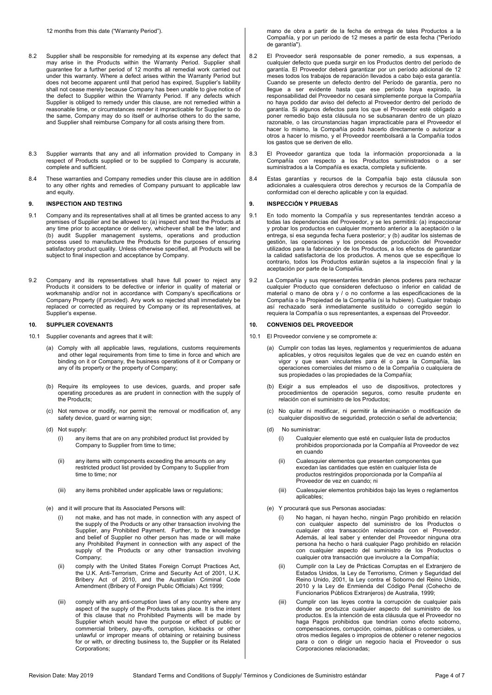12 months from this date ("Warranty Period").

- 8.2 Supplier shall be responsible for remedying at its expense any defect that may arise in the Products within the Warranty Period. Supplier shall guarantee for a further period of 12 months all remedial work carried out under this warranty. Where a defect arises within the Warranty Period but does not become apparent until that period has expired, Supplier's liability shall not cease merely because Company has been unable to give notice of the defect to Supplier within the Warranty Period. If any defects which Supplier is obliged to remedy under this clause, are not remedied within a reasonable time, or circumstances render it impracticable for Supplier to do the same, Company may do so itself or authorise others to do the same, and Supplier shall reimburse Company for all costs arising there from.
- 8.3 Supplier warrants that any and all information provided to Company in respect of Products supplied or to be supplied to Company is accurate, complete and sufficient.
- 8.4 These warranties and Company remedies under this clause are in addition to any other rights and remedies of Company pursuant to applicable law and equity.

#### **9. INSPECTION AND TESTING**

- 9.1 Company and its representatives shall at all times be granted access to any premises of Supplier and be allowed to: (a) inspect and test the Products at any time prior to acceptance or delivery, whichever shall be the later; and (b) audit Supplier management systems, operations and production process used to manufacture the Products for the purposes of ensuring satisfactory product quality. Unless otherwise specified, all Products will be subject to final inspection and acceptance by Company.
- 9.2 Company and its representatives shall have full power to reject any Products it considers to be defective or inferior in quality of material or workmanship and/or not in accordance with Company's specifications or Company Property (if provided). Any work so rejected shall immediately be replaced or corrected as required by Company or its representatives, at Supplier's expense.

#### **10. SUPPLIER COVENANTS**

- 10.1 Supplier covenants and agrees that it will:
	- (a) Comply with all applicable laws, regulations, customs requirements and other legal requirements from time to time in force and which are binding on it or Company, the business operations of it or Company or any of its property or the property of Company;
	- (b) Require its employees to use devices, guards, and proper safe operating procedures as are prudent in connection with the supply of the Products;
	- (c) Not remove or modify, nor permit the removal or modification of, any safety device, quard or warning sign;
	- (d) Not supply:
		- (i) any items that are on any prohibited product list provided by Company to Supplier from time to time;
		- (ii) any items with components exceeding the amounts on any restricted product list provided by Company to Supplier from time to time; nor
		- (iii) any items prohibited under applicable laws or regulations;
	- (e) and it will procure that its Associated Persons will:
		- (i) not make, and has not made, in connection with any aspect of the supply of the Products or any other transaction involving the Supplier, any Prohibited Payment. Further, to the knowledge and belief of Supplier no other person has made or will make any Prohibited Payment in connection with any aspect of the supply of the Products or any other transaction involving Company;
		- (ii) comply with the United States Foreign Corrupt Practices Act, the U.K. Anti-Terrorism, Crime and Security Act of 2001, U.K. Bribery Act of 2010, and the Australian Criminal Code Amendment (Bribery of Foreign Public Officials) Act 1999;
		- (iii) comply with any anti-corruption laws of any country where any aspect of the supply of the Products takes place. It is the intent of this clause that no Prohibited Payments will be made by Supplier which would have the purpose or effect of public or commercial bribery, pay-offs, corruption, kickbacks or other unlawful or improper means of obtaining or retaining business for or with, or directing business to, the Supplier or its Related Corporations;

mano de obra a partir de la fecha de entrega de tales Productos a la Compañía, y por un período de 12 meses a partir de esta fecha ("Período de garantía").

- 8.2 El Proveedor será responsable de poner remedio, a sus expensas, a cualquier defecto que pueda surgir en los Productos dentro del período de garantía. El Proveedor deberá garantizar por un período adicional de 12 meses todos los trabajos de reparación llevados a cabo bajo esta garantía. Cuando se presente un defecto dentro del Período de garantía, pero no llegue a ser evidente hasta que ese período haya expirado, la responsabilidad del Proveedor no cesará simplemente porque la Compañía no haya podido dar aviso del defecto al Proveedor dentro del período de garantía. Si algunos defectos para los que el Proveedor esté obligado a poner remedio bajo esta cláusula no se subsanaran dentro de un plazo razonable, o las circunstancias hagan impracticable para el Proveedor el hacer lo mismo, la Compañía podrá hacerlo directamente o autorizar a otros a hacer lo mismo, y el Proveedor reembolsará a la Compañía todos los gastos que se deriven de ello.
- 8.3 El Proveedor garantiza que toda la información proporcionada a la Compañía con respecto a los Productos suministrados o a ser suministrados a la Compañía es exacta, completa y suficiente.
- 8.4 Estas garantías y recursos de la Compañía bajo esta cláusula son adicionales a cualesquiera otros derechos y recursos de la Compañía de conformidad con el derecho aplicable y con la equidad.

#### **9. INSPECCIÓN Y PRUEBAS**

- 9.1 En todo momento la Compañía y sus representantes tendrán acceso a todas las dependencias del Proveedor, y se les permitirá: (a) inspeccionar y probar los productos en cualquier momento anterior a la aceptación o la entrega, si esa segunda fecha fuera posterior; y (b) auditar los sistemas de gestión, las operaciones y los procesos de producción del Proveedor utilizados para la fabricación de los Productos, a los efectos de garantizar la calidad satisfactoria de los productos. A menos que se especifique lo contrario, todos los Productos estarán sujetos a la inspección final y la aceptación por parte de la Compañía.
- 9.2 La Compañía y sus representantes tendrán plenos poderes para rechazar cualquier Producto que consideren defectuoso o inferior en calidad de material o mano de obra y / o no conforme a las especificaciones de la Compañía o la Propiedad de la Compañía (si la hubiere). Cualquier trabajo así rechazado será inmediatamente sustituido o corregido según lo requiera la Compañía o sus representantes, a expensas del Proveedor.

#### **10. CONVENIOS DEL PROVEEDOR**

- 10.1 El Proveedor conviene y se compromete a:
	- (a) Cumplir con todas las leyes, reglamentos y requerimientos de aduana aplicables, y otros requisitos legales que de vez en cuando estén en vigor y que sean vinculantes para él o para la Compañía, las operaciones comerciales del mismo o de la Compañía o cualquiera de sus propiedades o las propiedades de la Compañía;
	- (b) Exigir a sus empleados el uso de dispositivos, protectores y procedimientos de operación seguros, como resulte prudente en relación con el suministro de los Productos;
	- (c) No quitar ni modificar, ni permitir la eliminación o modificación de cualquier dispositivo de seguridad, protección o señal de advertencia;
	- (d) No suministrar:
		- (i) Cualquier elemento que esté en cualquier lista de productos prohibidos proporcionada por la Compañía al Proveedor de vez en cuando
		- (ii) Cualesquier elementos que presenten componentes que excedan las cantidades que estén en cualquier lista de productos restringidos proporcionada por la Compañía al Proveedor de vez en cuando; ni
		- (iii) Cualesquier elementos prohibidos bajo las leyes o reglamentos aplicables;
	- (e) Y procurará que sus Personas asociadas:
		- (i) No hagan, ni hayan hecho, ningún Pago prohibido en relación con cualquier aspecto del suministro de los Productos o cualquier otra transacción relacionada con el Proveedor. Además, al leal saber y entender del Proveedor ninguna otra persona ha hecho o hará cualquier Pago prohibido en relación con cualquier aspecto del suministro de los Productos o cualquier otra transacción que involucre a la Compañía;
		- (ii) Cumplir con la Ley de Prácticas Corruptas en el Extranjero de Estados Unidos, la Ley de Terrorismo, Crimen y Seguridad del Reino Unido, 2001, la Ley contra el Soborno del Reino Unido, 2010 y la Ley de Enmienda del Código Penal (Cohecho de Funcionarios Públicos Extranjeros) de Australia, 1999;
		- (iii) Cumplir con las leyes contra la corrupción de cualquier país donde se produzca cualquier aspecto del suministro de los productos. Es la intención de esta cláusula que el Proveedor no haga Pagos prohibidos que tendrían como efecto soborno, compensaciones, corrupción, coimas, públicas o comerciales, u otros medios ilegales o impropios de obtener o retener negocios para o con o dirigir un negocio hacia el Proveedor o sus Corporaciones relacionadas;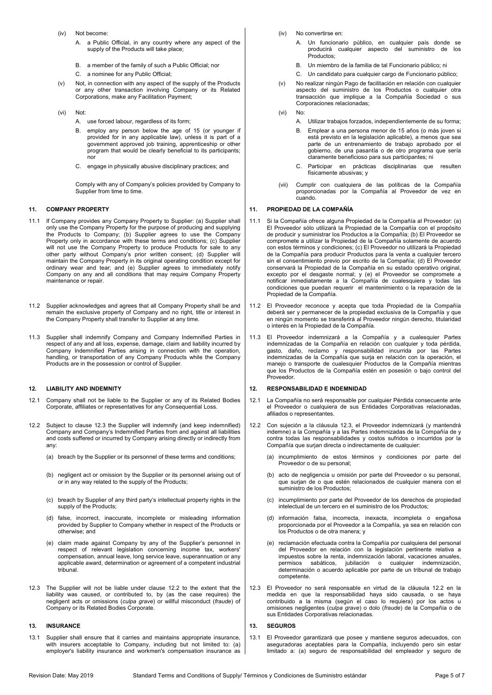- (iv) Not become:
	- A. a Public Official, in any country where any aspect of the supply of the Products will take place:
	- B. a member of the family of such a Public Official; nor
	- C. a nominee for any Public Official;
- (v) Not, in connection with any aspect of the supply of the Products or any other transaction involving Company or its Related Corporations, make any Facilitation Payment;
- (vi) Not:
	- A. use forced labour, regardless of its form;
	- B. employ any person below the age of 15 (or younger if provided for in any applicable law), unless it is part of a government approved job training, apprenticeship or other program that would be clearly beneficial to its participants; .<br>חח
	- C. engage in physically abusive disciplinary practices; and

Comply with any of Company's policies provided by Company to Supplier from time to time.

#### **11. COMPANY PROPERTY**

- 11.1 If Company provides any Company Property to Supplier: (a) Supplier shall only use the Company Property for the purpose of producing and supplying the Products to Company; (b) Supplier agrees to use the Company Property only in accordance with these terms and conditions; (c) Supplier will not use the Company Property to produce Products for sale to any other party without Company's prior written consent; (d) Supplier will maintain the Company Property in its original operating condition except for ordinary wear and tear; and (e) Supplier agrees to immediately notify Company on any and all conditions that may require Company Property maintenance or repair.
- 11.2 Supplier acknowledges and agrees that all Company Property shall be and remain the exclusive property of Company and no right, title or interest in the Company Property shall transfer to Supplier at any time.
- 11.3 Supplier shall indemnify Company and Company Indemnified Parties in respect of any and all loss, expense, damage, claim and liability incurred by Company Indemnified Parties arising in connection with the operation, handling, or transportation of any Company Products while the Company Products are in the possession or control of Supplier.

## **12. LIABILITY AND INDEMNITY**

- 12.1 Company shall not be liable to the Supplier or any of its Related Bodies Corporate, affiliates or representatives for any Consequential Loss.
- 12.2 Subject to clause [12.3](#page-4-0) the Supplier will indemnify (and keep indemnified) Company and Company's Indemnified Parties from and against all liabilities and costs suffered or incurred by Company arising directly or indirectly from any:
	- (a) breach by the Supplier or its personnel of these terms and conditions;
	- (b) negligent act or omission by the Supplier or its personnel arising out of or in any way related to the supply of the Products;
	- (c) breach by Supplier of any third party's intellectual property rights in the supply of the Products;
	- (d) false, incorrect, inaccurate, incomplete or misleading information provided by Supplier to Company whether in respect of the Products or otherwise; and
	- (e) claim made against Company by any of the Supplier's personnel in respect of relevant legislation concerning income tax, workers' compensation, annual leave, long service leave, superannuation or any applicable award, determination or agreement of a competent industrial tribunal.
- 12.3 The Supplier will not be liable under clause 12.2 to the extent that the liability was caused, or contributed to, by (as the case requires) the negligent acts or omissions (*culpa grave*) or willful misconduct (*fraude*) of Company or its Related Bodies Corporate.

### **13. INSURANCE**

13.1 Supplier shall ensure that it carries and maintains appropriate insurance, with insurers acceptable to Company, including but not limited to: (a) employer's liability insurance and workmen's compensation insurance as

- (iv) No convertirse en:
	- A. Un funcionario público, en cualquier país donde se producirá cualquier aspecto del suministro de los Productos;
	- B. Un miembro de la familia de tal Funcionario público; ni
	- C. Un candidato para cualquier cargo de Funcionario público;
- (v) No realizar ningún Pago de facilitación en relación con cualquier aspecto del suministro de los Productos o cualquier otra transacción que implique a la Compañía Sociedad o sus Corporaciones relacionadas;
- (vi) No:
	- A. Utilizar trabajos forzados, independientemente de su forma;
	- B. Emplear a una persona menor de 15 años (o más joven si está previsto en la legislación aplicable), a menos que sea parte de un entrenamiento de trabajo aprobado por el gobierno, de una pasantía o de otro programa que sería claramente beneficioso para sus participantes; ni
	- C. Participar en prácticas disciplinarias que resulten físicamente abusivas; y
- (vii) Cumplir con cualquiera de las políticas de la Compañía proporcionadas por la Compañía al Proveedor de vez en cuando.

#### **11. PROPIEDAD DE LA COMPAÑÍA**

- 11.1 Si la Compañía ofrece alguna Propiedad de la Compañía al Proveedor: (a) El Proveedor sólo utilizará la Propiedad de la Compañía con el propósito de producir y suministrar los Productos a la Compañía; (b) El Proveedor se compromete a utilizar la Propiedad de la Compañía solamente de acuerdo con estos términos y condiciones; (c) El Proveedor no utilizará la Propiedad de la Compañía para producir Productos para la venta a cualquier tercero sin el consentimiento previo por escrito de la Compañía; (d) El Proveedor conservará la Propiedad de la Compañía en su estado operativo original, excepto por el desgaste normal; y (e) el Proveedor se compromete a notificar inmediatamente a la Compañía de cualesquiera y todas las condiciones que puedan requerir el mantenimiento o la reparación de la Propiedad de la Compañía.
- 11.2 El Proveedor reconoce y acepta que toda Propiedad de la Compañía deberá ser y permanecer de la propiedad exclusiva de la Compañía y que en ningún momento se transferirá al Proveedor ningún derecho, titularidad o interés en la Propiedad de la Compañía.
- 11.3 El Proveedor indemnizará a la Compañía y a cualesquier Partes indemnizadas de la Compañía en relación con cualquier y toda pérdida, gasto, daño, reclamo y responsabilidad incurrida por las Partes indemnizadas de la Compañía que surja en relación con la operación, el manejo o transporte de cualesquier Productos de la Compañía mientras que los Productos de la Compañía estén en posesión o bajo control del Proveedor.

### **12. RESPONSABILIDAD E INDEMNIDAD**

- 12.1 La Compañía no será responsable por cualquier Pérdida consecuente ante el Proveedor o cualquiera de sus Entidades Corporativas relacionadas, afiliados o representantes.
- 12.2 Con sujeción a la cláusula [12.3,](#page-4-0) el Proveedor indemnizará (y mantendrá indemne) a la Compañía y a las Partes indemnizadas de la Compañía de y contra todas las responsabilidades y costos sufridos o incurridos por la Compañía que surjan directa o indirectamente de cualquier:
	- (a) incumplimiento de estos términos y condiciones por parte del Proveedor o de su personal;
	- (b) acto de negligencia u omisión por parte del Proveedor o su personal, que surjan de o que estén relacionados de cualquier manera con el suministro de los Productos;
	- (c) incumplimiento por parte del Proveedor de los derechos de propiedad intelectual de un tercero en el suministro de los Productos;
	- (d) información falsa, incorrecta, inexacta, incompleta o engañosa proporcionada por el Proveedor a la Compañía, ya sea en relación con los Productos o de otra manera; y
	- reclamación efectuada contra la Compañía por cualquiera del personal del Proveedor en relación con la legislación pertinente relativa a impuestos sobre la renta, indemnización laboral, vacaciones anuales, permisos sabáticos, jubilación o cualquier indemnización, determinación o acuerdo aplicable por parte de un tribunal de trabajo competente.
- <span id="page-4-0"></span>12.3 El Proveedor no será responsable en virtud de la cláusula 12.2 en la medida en que la responsabilidad haya sido causada, o se haya contribuido a la misma (según el caso lo requiera) por los actos u omisiones negligentes (*culpa grave*) o dolo (*fraude*) de la Compañía o de sus Entidades Corporativas relacionadas.

## **13. SEGUROS**

13.1 El Proveedor garantizará que posee y mantiene seguros adecuados, con aseguradoras aceptables para la Compañía, incluyendo pero sin estar limitado a: (a) seguro de responsabilidad del empleador y seguro de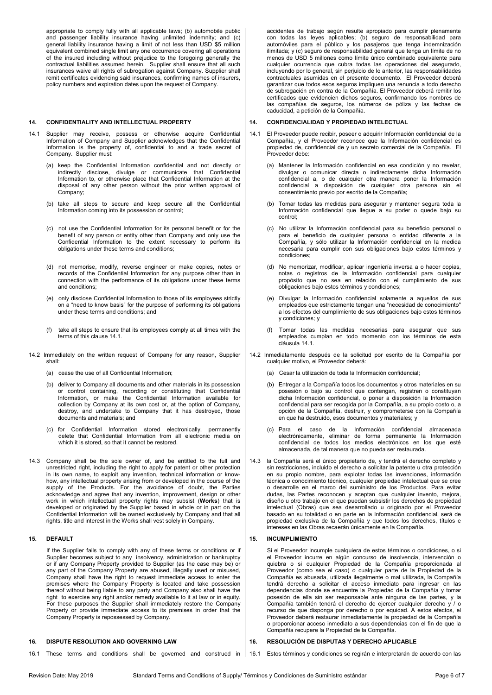appropriate to comply fully with all applicable laws; (b) automobile public and passenger liability insurance having unlimited indemnity; and (c) general liability insurance having a limit of not less than USD \$5 million equivalent combined single limit any one occurrence covering all operations of the insured including without prejudice to the foregoing generally the contractual liabilities assumed herein. Supplier shall ensure that all such insurances waive all rights of subrogation against Company. Supplier shall remit certificates evidencing said insurances, confirming names of insurers, policy numbers and expiration dates upon the request of Company.

#### **14. CONFIDENTIALITY AND INTELLECTUAL PROPERTY**

- 14.1 Supplier may receive, possess or otherwise acquire Confidential Information of Company and Supplier acknowledges that the Confidential Information is the property of, confidential to and a trade secret of Company. Supplier must:
	- (a) keep the Confidential Information confidential and not directly or indirectly disclose, divulge or communicate that Confidential Information to, or otherwise place that Confidential Information at the disposal of any other person without the prior written approval of Company;
	- (b) take all steps to secure and keep secure all the Confidential Information coming into its possession or control;
	- (c) not use the Confidential Information for its personal benefit or for the benefit of any person or entity other than Company and only use the Confidential Information to the extent necessary to perform its obligations under these terms and conditions;
	- (d) not memorise, modify, reverse engineer or make copies, notes or records of the Confidential Information for any purpose other than in connection with the performance of its obligations under these terms and conditions;
	- (e) only disclose Confidential Information to those of its employees strictly on a "need to know basis" for the purpose of performing its obligations under these terms and conditions; and
	- (f) take all steps to ensure that its employees comply at all times with the terms of this claus[e 14.1.](#page-5-0)
- 14.2 Immediately on the written request of Company for any reason, Supplier shall:
	- (a) cease the use of all Confidential Information;
	- (b) deliver to Company all documents and other materials in its possession or control containing, recording or constituting that Confidential Information, or make the Confidential Information available for collection by Company at its own cost or, at the option of Company, destroy, and undertake to Company that it has destroyed, those documents and materials; and
	- (c) for Confidential Information stored electronically, permanently delete that Confidential Information from all electronic media on which it is stored, so that it cannot be restored.
- 14.3 Company shall be the sole owner of, and be entitled to the full and unrestricted right, including the right to apply for patent or other protection in its own name, to exploit any invention, technical information or knowhow, any intellectual property arising from or developed in the course of the supply of the Products. For the avoidance of doubt, the Parties acknowledge and agree that any invention, improvement, design or other work in which intellectual property rights may subsist (**Works**) that is developed or originated by the Supplier based in whole or in part on the Confidential Information will be owned exclusively by Company and that all rights, title and interest in the Works shall vest solely in Company.

## **15. DEFAULT**

If the Supplier fails to comply with any of these terms or conditions or if Supplier becomes subject to any insolvency, administration or bankruptcy or if any Company Property provided to Supplier (as the case may be) or any part of the Company Property are abused, illegally used or misused, Company shall have the right to request immediate access to enter the premises where the Company Property is located and take possession thereof without being liable to any party and Company also shall have the right to exercise any right and/or remedy available to it at law or in equity. For these purposes the Supplier shall immediately restore the Company Property or provide immediate access to its premises in order that the Company Property is repossessed by Company.

16.1 These terms and conditions shall be governed and construed in

# **16. DISPUTE RESOLUTION AND GOVERNING LAW**

accidentes de trabajo según resulte apropiado para cumplir plenamente con todas las leyes aplicables; (b) seguro de responsabilidad para automóviles para el público y los pasajeros que tenga indemnización ilimitada; y (c) seguro de responsabilidad general que tenga un límite de no menos de USD 5 millones como límite único combinado equivalente para cualquier ocurrencia que cubra todas las operaciones del asegurado, incluyendo por lo general, sin perjuicio de lo anterior, las responsabilidades contractuales asumidas en el presente documento. El Proveedor deberá garantizar que todos esos seguros impliquen una renuncia a todo derecho de subrogación en contra de la Compañía. El Proveedor deberá remitir los certificados que evidencien dichos seguros, confirmando los nombres de las compañías de seguros, los números de póliza y las fechas de caducidad, a petición de la Compañía.

## **14. CONFIDENCIALIDAD Y PROPIEDAD INTELECTUAL**

- <span id="page-5-0"></span>14.1 El Proveedor puede recibir, poseer o adquirir Información confidencial de la Compañía, y el Proveedor reconoce que la Información confidencial es propiedad de, confidencial de y un secreto comercial de la Compañía. El Proveedor debe:
	- (a) Mantener la Información confidencial en esa condición y no revelar, divulgar o comunicar directa o indirectamente dicha Información confidencial a, o de cualquier otra manera poner la Información confidencial a disposición de cualquier otra persona sin el consentimiento previo por escrito de la Compañía;
	- (b) Tomar todas las medidas para asegurar y mantener segura toda la Información confidencial que llegue a su poder o quede bajo su control;
	- (c) No utilizar la Información confidencial para su beneficio personal o para el beneficio de cualquier persona o entidad diferente a la Compañía, y sólo utilizar la Información confidencial en la medida necesaria para cumplir con sus obligaciones bajo estos términos y condiciones;
	- (d) No memorizar, modificar, aplicar ingeniería inversa a o hacer copias, notas o registros de la Información confidencial para cualquier propósito que no sea en relación con el cumplimiento de sus obligaciones bajo estos términos y condiciones;
	- (e) Divulgar la Información confidencial solamente a aquellos de sus empleados que estrictamente tengan una "necesidad de conocimiento" a los efectos del cumplimiento de sus obligaciones bajo estos términos y condiciones; y
	- (f) Tomar todas las medidas necesarias para asegurar que sus empleados cumplan en todo momento con los términos de esta cláusula [14.1.](#page-5-0)
- 14.2 Inmediatamente después de la solicitud por escrito de la Compañía por cualquier motivo, el Proveedor deberá:
	- (a) Cesar la utilización de toda la Información confidencial;
	- (b) Entregar a la Compañía todos los documentos y otros materiales en su posesión o bajo su control que contengan, registren o constituyan dicha Información confidencial, o poner a disposición la Información confidencial para ser recogida por la Compañía, a su propio costo o, a opción de la Compañía, destruir, y comprometerse con la Compañía en que ha destruido, esos documentos y materiales; y
	- (c) Para el caso de la Información confidencial almacenada electrónicamente, eliminar de forma permanente la Información confidencial de todos los medios electrónicos en los que esté almacenada, de tal manera que no pueda ser restaurada.
- la Compañía será el único propietario de, y tendrá el derecho completo y sin restricciones, incluido el derecho a solicitar la patente u otra protección en su propio nombre, para explotar todas las invenciones, información técnica o conocimiento técnico, cualquier propiedad intelectual que se cree o desarrolle en el marco del suministro de los Productos. Para evitar dudas, las Partes reconocen y aceptan que cualquier invento, mejora, diseño u otro trabajo en el que puedan subsistir los derechos de propiedad intelectual (Obras) que sea desarrollado u originado por el Proveedor basado en su totalidad o en parte en la Información confidencial, será de propiedad exclusiva de la Compañía y que todos los derechos, títulos e intereses en las Obras recaerán únicamente en la Compañía.

## **15. INCUMPLIMIENTO**

Si el Proveedor incumple cualquiera de estos términos o condiciones, o si el Proveedor incurre en algún concurso de insolvencia, intervención o quiebra o si cualquier Propiedad de la Compañía proporcionada al Proveedor (como sea el caso) o cualquier parte de la Propiedad de la Compañía es abusada, utilizada ilegalmente o mal utilizada, la Compañía tendrá derecho a solicitar el acceso inmediato para ingresar en las dependencias donde se encuentre la Propiedad de la Compañía y tomar posesión de ella sin ser responsable ante ninguna de las partes, y la Compañía también tendrá el derecho de ejercer cualquier derecho y / o recurso de que disponga por derecho o por equidad. A estos efectos, el Proveedor deberá restaurar inmediatamente la propiedad de la Compañía o proporcionar acceso inmediato a sus dependencias con el fin de que la Compañía recupere la Propiedad de la Compañía.

## **16. RESOLUCIÓN DE DISPUTAS Y DERECHO APLICABLE**

16.1 Estos términos y condiciones se regirán e interpretarán de acuerdo con las